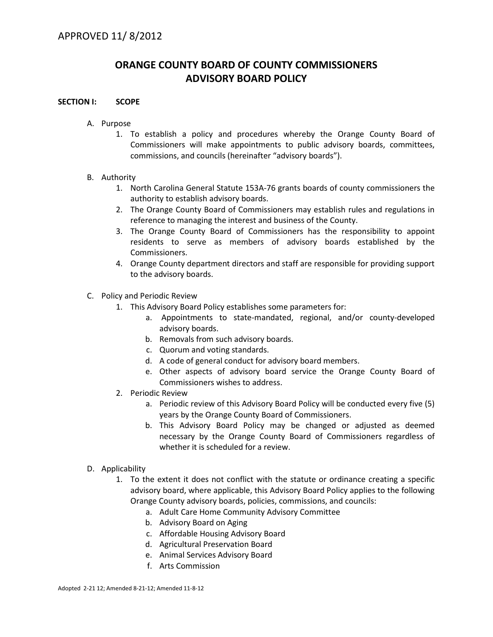# **ORANGE COUNTY BOARD OF COUNTY COMMISSIONERS ADVISORY BOARD POLICY**

#### **SECTION I: SCOPE**

- A. Purpose
	- 1. To establish a policy and procedures whereby the Orange County Board of Commissioners will make appointments to public advisory boards, committees, commissions, and councils (hereinafter "advisory boards").

#### B. Authority

- 1. North Carolina General Statute 153A-76 grants boards of county commissioners the authority to establish advisory boards.
- 2. The Orange County Board of Commissioners may establish rules and regulations in reference to managing the interest and business of the County.
- 3. The Orange County Board of Commissioners has the responsibility to appoint residents to serve as members of advisory boards established by the Commissioners.
- 4. Orange County department directors and staff are responsible for providing support to the advisory boards.
- C. Policy and Periodic Review
	- 1. This Advisory Board Policy establishes some parameters for:
		- a. Appointments to state-mandated, regional, and/or county-developed advisory boards.
		- b. Removals from such advisory boards.
		- c. Quorum and voting standards.
		- d. A code of general conduct for advisory board members.
		- e. Other aspects of advisory board service the Orange County Board of Commissioners wishes to address.
	- 2. Periodic Review
		- a. Periodic review of this Advisory Board Policy will be conducted every five (5) years by the Orange County Board of Commissioners.
		- b. This Advisory Board Policy may be changed or adjusted as deemed necessary by the Orange County Board of Commissioners regardless of whether it is scheduled for a review.
- D. Applicability
	- 1. To the extent it does not conflict with the statute or ordinance creating a specific advisory board, where applicable, this Advisory Board Policy applies to the following Orange County advisory boards, policies, commissions, and councils:
		- a. Adult Care Home Community Advisory Committee
		- b. Advisory Board on Aging
		- c. Affordable Housing Advisory Board
		- d. Agricultural Preservation Board
		- e. Animal Services Advisory Board
		- f. Arts Commission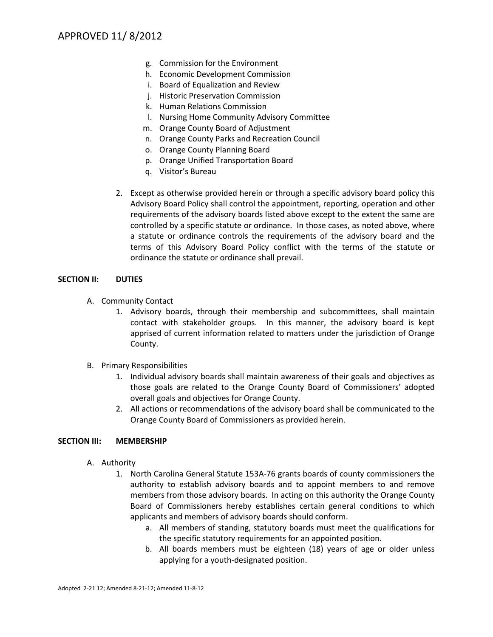- g. Commission for the Environment
- h. Economic Development Commission
- i. Board of Equalization and Review
- j. Historic Preservation Commission
- k. Human Relations Commission
- l. Nursing Home Community Advisory Committee
- m. Orange County Board of Adjustment
- n. Orange County Parks and Recreation Council
- o. Orange County Planning Board
- p. Orange Unified Transportation Board
- q. Visitor's Bureau
- 2. Except as otherwise provided herein or through a specific advisory board policy this Advisory Board Policy shall control the appointment, reporting, operation and other requirements of the advisory boards listed above except to the extent the same are controlled by a specific statute or ordinance. In those cases, as noted above, where a statute or ordinance controls the requirements of the advisory board and the terms of this Advisory Board Policy conflict with the terms of the statute or ordinance the statute or ordinance shall prevail.

## **SECTION II: DUTIES**

- A. Community Contact
	- 1. Advisory boards, through their membership and subcommittees, shall maintain contact with stakeholder groups. In this manner, the advisory board is kept apprised of current information related to matters under the jurisdiction of Orange County.
- B. Primary Responsibilities
	- 1. Individual advisory boards shall maintain awareness of their goals and objectives as those goals are related to the Orange County Board of Commissioners' adopted overall goals and objectives for Orange County.
	- 2. All actions or recommendations of the advisory board shall be communicated to the Orange County Board of Commissioners as provided herein.

## **SECTION III: MEMBERSHIP**

- A. Authority
	- 1. North Carolina General Statute 153A-76 grants boards of county commissioners the authority to establish advisory boards and to appoint members to and remove members from those advisory boards. In acting on this authority the Orange County Board of Commissioners hereby establishes certain general conditions to which applicants and members of advisory boards should conform.
		- a. All members of standing, statutory boards must meet the qualifications for the specific statutory requirements for an appointed position.
		- b. All boards members must be eighteen (18) years of age or older unless applying for a youth-designated position.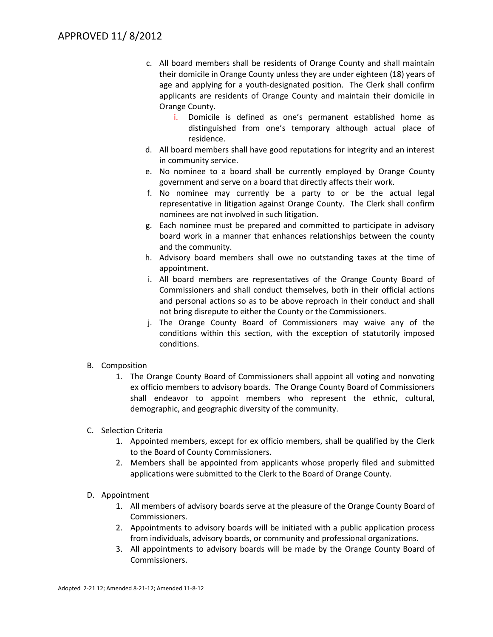- c. All board members shall be residents of Orange County and shall maintain their domicile in Orange County unless they are under eighteen (18) years of age and applying for a youth-designated position. The Clerk shall confirm applicants are residents of Orange County and maintain their domicile in Orange County.
	- i. Domicile is defined as one's permanent established home as distinguished from one's temporary although actual place of residence.
- d. All board members shall have good reputations for integrity and an interest in community service.
- e. No nominee to a board shall be currently employed by Orange County government and serve on a board that directly affects their work.
- f. No nominee may currently be a party to or be the actual legal representative in litigation against Orange County. The Clerk shall confirm nominees are not involved in such litigation.
- g. Each nominee must be prepared and committed to participate in advisory board work in a manner that enhances relationships between the county and the community.
- h. Advisory board members shall owe no outstanding taxes at the time of appointment.
- i. All board members are representatives of the Orange County Board of Commissioners and shall conduct themselves, both in their official actions and personal actions so as to be above reproach in their conduct and shall not bring disrepute to either the County or the Commissioners.
- j. The Orange County Board of Commissioners may waive any of the conditions within this section, with the exception of statutorily imposed conditions.
- B. Composition
	- 1. The Orange County Board of Commissioners shall appoint all voting and nonvoting ex officio members to advisory boards. The Orange County Board of Commissioners shall endeavor to appoint members who represent the ethnic, cultural, demographic, and geographic diversity of the community.
- C. Selection Criteria
	- 1. Appointed members, except for ex officio members, shall be qualified by the Clerk to the Board of County Commissioners.
	- 2. Members shall be appointed from applicants whose properly filed and submitted applications were submitted to the Clerk to the Board of Orange County.
- D. Appointment
	- 1. All members of advisory boards serve at the pleasure of the Orange County Board of Commissioners.
	- 2. Appointments to advisory boards will be initiated with a public application process from individuals, advisory boards, or community and professional organizations.
	- 3. All appointments to advisory boards will be made by the Orange County Board of Commissioners.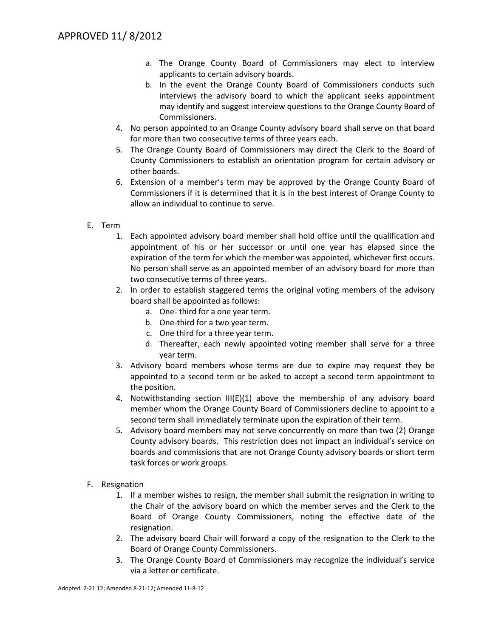- a. The Orange County Board of Commissioners may elect to interview applicants to certain advisory boards.
- b. In the event the Orange County Board of Commissioners conducts such interviews the advisory board to which the applicant seeks appointment may identify and suggest interview questions to the Orange County Board of Commissioners.
- 4. No person appointed to an Orange County advisory board shall serve on that board for more than two consecutive terms of three years each.
- 5. The Orange County Board of Commissioners may direct the Clerk to the Board of County Commissioners to establish an orientation program for certain advisory or other boards.
- 6. Extension of a member's term may be approved by the Orange County Board of Commissioners if it is determined that it is in the best interest of Orange County to allow an individual to continue to serve.
- E. Term
	- 1. Each appointed advisory board member shall hold office until the qualification and appointment of his or her successor or until one year has elapsed since the expiration of the term for which the member was appointed, whichever first occurs. No person shall serve as an appointed member of an advisory board for more than two consecutive terms of three years.
	- 2. In order to establish staggered terms the original voting members of the advisory board shall be appointed as follows:
		- a. One- third for a one year term.
		- b. One-third for a two year term.
		- c. One third for a three year term.
		- d. Thereafter, each newly appointed voting member shall serve for a three year term.
	- 3. Advisory board members whose terms are due to expire may request they be appointed to a second term or be asked to accept a second term appointment to the position.
	- 4. Notwithstanding section III(E)(1) above the membership of any advisory board member whom the Orange County Board of Commissioners decline to appoint to a second term shall immediately terminate upon the expiration of their term.
	- 5. Advisory board members may not serve concurrently on more than two (2) Orange County advisory boards. This restriction does not impact an individual's service on boards and commissions that are not Orange County advisory boards or short term task forces or work groups.
- F. Resignation
	- 1. If a member wishes to resign, the member shall submit the resignation in writing to the Chair of the advisory board on which the member serves and the Clerk to the Board of Orange County Commissioners, noting the effective date of the resignation.
	- 2. The advisory board Chair will forward a copy of the resignation to the Clerk to the Board of Orange County Commissioners.
	- 3. The Orange County Board of Commissioners may recognize the individual's service via a letter or certificate.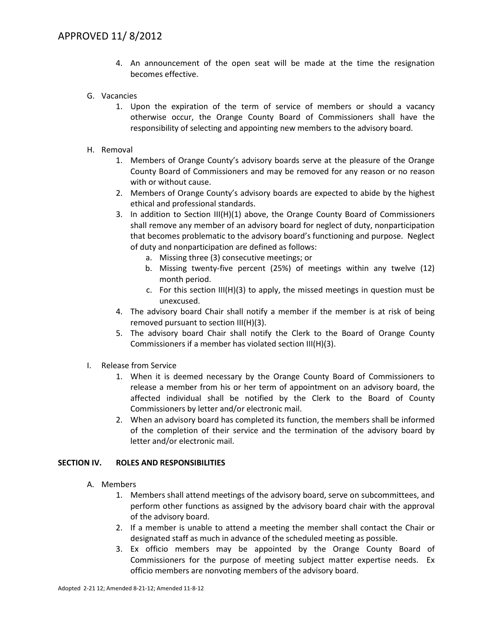- 4. An announcement of the open seat will be made at the time the resignation becomes effective.
- G. Vacancies
	- 1. Upon the expiration of the term of service of members or should a vacancy otherwise occur, the Orange County Board of Commissioners shall have the responsibility of selecting and appointing new members to the advisory board.
- H. Removal
	- 1. Members of Orange County's advisory boards serve at the pleasure of the Orange County Board of Commissioners and may be removed for any reason or no reason with or without cause.
	- 2. Members of Orange County's advisory boards are expected to abide by the highest ethical and professional standards.
	- 3. In addition to Section III(H)(1) above, the Orange County Board of Commissioners shall remove any member of an advisory board for neglect of duty, nonparticipation that becomes problematic to the advisory board's functioning and purpose. Neglect of duty and nonparticipation are defined as follows:
		- a. Missing three (3) consecutive meetings; or
		- b. Missing twenty-five percent (25%) of meetings within any twelve (12) month period.
		- c. For this section  $III(H)(3)$  to apply, the missed meetings in question must be unexcused.
	- 4. The advisory board Chair shall notify a member if the member is at risk of being removed pursuant to section III(H)(3).
	- 5. The advisory board Chair shall notify the Clerk to the Board of Orange County Commissioners if a member has violated section III(H)(3).
- I. Release from Service
	- 1. When it is deemed necessary by the Orange County Board of Commissioners to release a member from his or her term of appointment on an advisory board, the affected individual shall be notified by the Clerk to the Board of County Commissioners by letter and/or electronic mail.
	- 2. When an advisory board has completed its function, the members shall be informed of the completion of their service and the termination of the advisory board by letter and/or electronic mail.

#### **SECTION IV. ROLES AND RESPONSIBILITIES**

- A. Members
	- 1. Members shall attend meetings of the advisory board, serve on subcommittees, and perform other functions as assigned by the advisory board chair with the approval of the advisory board.
	- 2. If a member is unable to attend a meeting the member shall contact the Chair or designated staff as much in advance of the scheduled meeting as possible.
	- 3. Ex officio members may be appointed by the Orange County Board of Commissioners for the purpose of meeting subject matter expertise needs. Ex officio members are nonvoting members of the advisory board.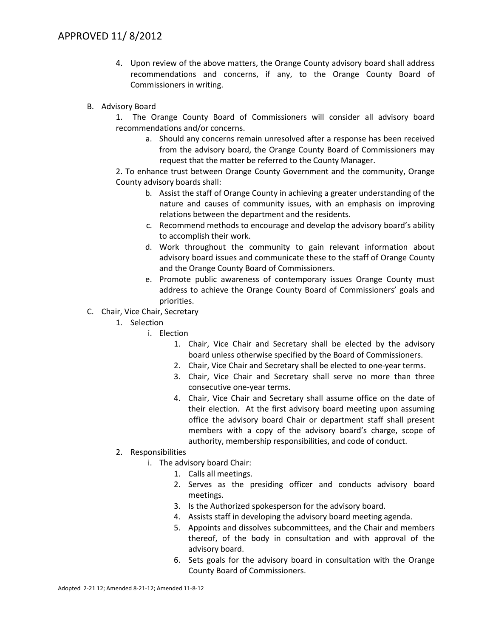- 4. Upon review of the above matters, the Orange County advisory board shall address recommendations and concerns, if any, to the Orange County Board of Commissioners in writing.
- B. Advisory Board

1. The Orange County Board of Commissioners will consider all advisory board recommendations and/or concerns.

a. Should any concerns remain unresolved after a response has been received from the advisory board, the Orange County Board of Commissioners may request that the matter be referred to the County Manager.

2. To enhance trust between Orange County Government and the community, Orange County advisory boards shall:

- b. Assist the staff of Orange County in achieving a greater understanding of the nature and causes of community issues, with an emphasis on improving relations between the department and the residents.
- c. Recommend methods to encourage and develop the advisory board's ability to accomplish their work.
- d. Work throughout the community to gain relevant information about advisory board issues and communicate these to the staff of Orange County and the Orange County Board of Commissioners.
- e. Promote public awareness of contemporary issues Orange County must address to achieve the Orange County Board of Commissioners' goals and priorities.
- C. Chair, Vice Chair, Secretary
	- 1. Selection
		- i. Election
			- 1. Chair, Vice Chair and Secretary shall be elected by the advisory board unless otherwise specified by the Board of Commissioners.
			- 2. Chair, Vice Chair and Secretary shall be elected to one-year terms.
			- 3. Chair, Vice Chair and Secretary shall serve no more than three consecutive one-year terms.
			- 4. Chair, Vice Chair and Secretary shall assume office on the date of their election. At the first advisory board meeting upon assuming office the advisory board Chair or department staff shall present members with a copy of the advisory board's charge, scope of authority, membership responsibilities, and code of conduct.
	- 2. Responsibilities
		- i. The advisory board Chair:
			- 1. Calls all meetings.
			- 2. Serves as the presiding officer and conducts advisory board meetings.
			- 3. Is the Authorized spokesperson for the advisory board.
			- 4. Assists staff in developing the advisory board meeting agenda.
			- 5. Appoints and dissolves subcommittees, and the Chair and members thereof, of the body in consultation and with approval of the advisory board.
			- 6. Sets goals for the advisory board in consultation with the Orange County Board of Commissioners.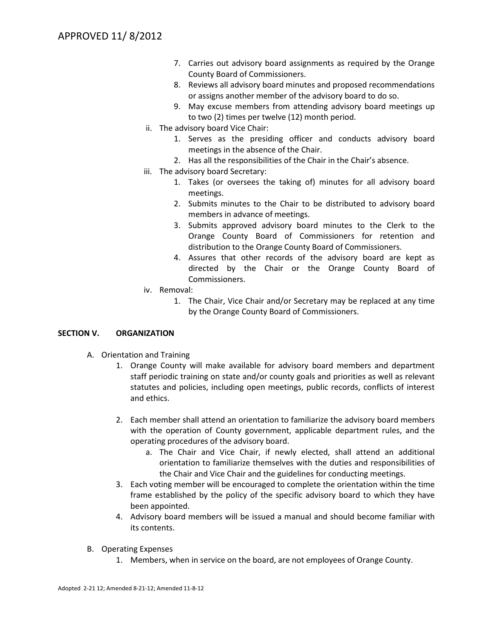- 7. Carries out advisory board assignments as required by the Orange County Board of Commissioners.
- 8. Reviews all advisory board minutes and proposed recommendations or assigns another member of the advisory board to do so.
- 9. May excuse members from attending advisory board meetings up to two (2) times per twelve (12) month period.
- ii. The advisory board Vice Chair:
	- 1. Serves as the presiding officer and conducts advisory board meetings in the absence of the Chair.
	- 2. Has all the responsibilities of the Chair in the Chair's absence.
- iii. The advisory board Secretary:
	- 1. Takes (or oversees the taking of) minutes for all advisory board meetings.
	- 2. Submits minutes to the Chair to be distributed to advisory board members in advance of meetings.
	- 3. Submits approved advisory board minutes to the Clerk to the Orange County Board of Commissioners for retention and distribution to the Orange County Board of Commissioners.
	- 4. Assures that other records of the advisory board are kept as directed by the Chair or the Orange County Board of Commissioners.
- iv. Removal:
	- 1. The Chair, Vice Chair and/or Secretary may be replaced at any time by the Orange County Board of Commissioners.

## **SECTION V. ORGANIZATION**

- A. Orientation and Training
	- 1. Orange County will make available for advisory board members and department staff periodic training on state and/or county goals and priorities as well as relevant statutes and policies, including open meetings, public records, conflicts of interest and ethics.
	- 2. Each member shall attend an orientation to familiarize the advisory board members with the operation of County government, applicable department rules, and the operating procedures of the advisory board.
		- a. The Chair and Vice Chair, if newly elected, shall attend an additional orientation to familiarize themselves with the duties and responsibilities of the Chair and Vice Chair and the guidelines for conducting meetings.
	- 3. Each voting member will be encouraged to complete the orientation within the time frame established by the policy of the specific advisory board to which they have been appointed.
	- 4. Advisory board members will be issued a manual and should become familiar with its contents.
- B. Operating Expenses
	- 1. Members, when in service on the board, are not employees of Orange County.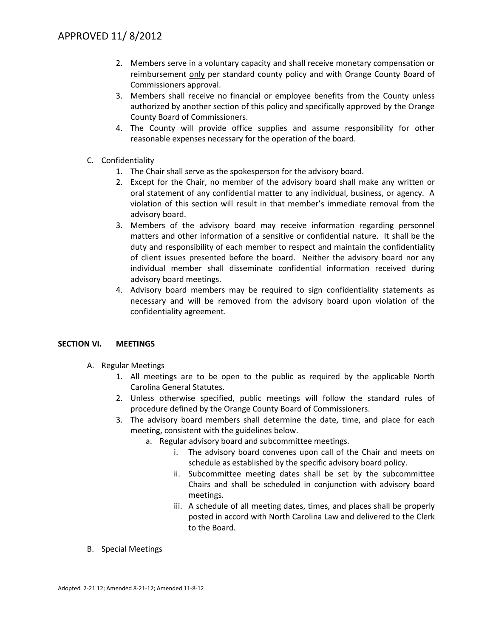- 2. Members serve in a voluntary capacity and shall receive monetary compensation or reimbursement only per standard county policy and with Orange County Board of Commissioners approval.
- 3. Members shall receive no financial or employee benefits from the County unless authorized by another section of this policy and specifically approved by the Orange County Board of Commissioners.
- 4. The County will provide office supplies and assume responsibility for other reasonable expenses necessary for the operation of the board.
- C. Confidentiality
	- 1. The Chair shall serve as the spokesperson for the advisory board.
	- 2. Except for the Chair, no member of the advisory board shall make any written or oral statement of any confidential matter to any individual, business, or agency. A violation of this section will result in that member's immediate removal from the advisory board.
	- 3. Members of the advisory board may receive information regarding personnel matters and other information of a sensitive or confidential nature. It shall be the duty and responsibility of each member to respect and maintain the confidentiality of client issues presented before the board. Neither the advisory board nor any individual member shall disseminate confidential information received during advisory board meetings.
	- 4. Advisory board members may be required to sign confidentiality statements as necessary and will be removed from the advisory board upon violation of the confidentiality agreement.

## **SECTION VI. MEETINGS**

- A. Regular Meetings
	- 1. All meetings are to be open to the public as required by the applicable North Carolina General Statutes.
	- 2. Unless otherwise specified, public meetings will follow the standard rules of procedure defined by the Orange County Board of Commissioners.
	- 3. The advisory board members shall determine the date, time, and place for each meeting, consistent with the guidelines below.
		- a. Regular advisory board and subcommittee meetings.
			- i. The advisory board convenes upon call of the Chair and meets on schedule as established by the specific advisory board policy.
			- ii. Subcommittee meeting dates shall be set by the subcommittee Chairs and shall be scheduled in conjunction with advisory board meetings.
			- iii. A schedule of all meeting dates, times, and places shall be properly posted in accord with North Carolina Law and delivered to the Clerk to the Board.
- B. Special Meetings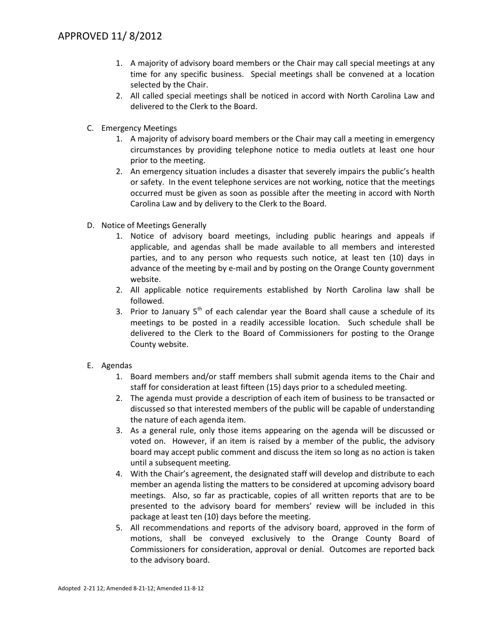- 1. A majority of advisory board members or the Chair may call special meetings at any time for any specific business. Special meetings shall be convened at a location selected by the Chair.
- 2. All called special meetings shall be noticed in accord with North Carolina Law and delivered to the Clerk to the Board.
- C. Emergency Meetings
	- 1. A majority of advisory board members or the Chair may call a meeting in emergency circumstances by providing telephone notice to media outlets at least one hour prior to the meeting.
	- 2. An emergency situation includes a disaster that severely impairs the public's health or safety. In the event telephone services are not working, notice that the meetings occurred must be given as soon as possible after the meeting in accord with North Carolina Law and by delivery to the Clerk to the Board.
- D. Notice of Meetings Generally
	- 1. Notice of advisory board meetings, including public hearings and appeals if applicable, and agendas shall be made available to all members and interested parties, and to any person who requests such notice, at least ten (10) days in advance of the meeting by e-mail and by posting on the Orange County government website.
	- 2. All applicable notice requirements established by North Carolina law shall be followed.
	- 3. Prior to January  $5<sup>th</sup>$  of each calendar year the Board shall cause a schedule of its meetings to be posted in a readily accessible location. Such schedule shall be delivered to the Clerk to the Board of Commissioners for posting to the Orange County website.
- E. Agendas
	- 1. Board members and/or staff members shall submit agenda items to the Chair and staff for consideration at least fifteen (15) days prior to a scheduled meeting.
	- 2. The agenda must provide a description of each item of business to be transacted or discussed so that interested members of the public will be capable of understanding the nature of each agenda item.
	- 3. As a general rule, only those items appearing on the agenda will be discussed or voted on. However, if an item is raised by a member of the public, the advisory board may accept public comment and discuss the item so long as no action is taken until a subsequent meeting.
	- 4. With the Chair's agreement, the designated staff will develop and distribute to each member an agenda listing the matters to be considered at upcoming advisory board meetings. Also, so far as practicable, copies of all written reports that are to be presented to the advisory board for members' review will be included in this package at least ten (10) days before the meeting.
	- 5. All recommendations and reports of the advisory board, approved in the form of motions, shall be conveyed exclusively to the Orange County Board of Commissioners for consideration, approval or denial. Outcomes are reported back to the advisory board.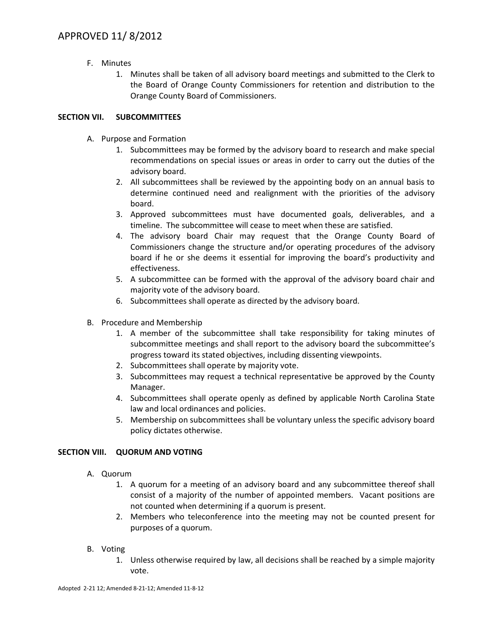- F. Minutes
	- 1. Minutes shall be taken of all advisory board meetings and submitted to the Clerk to the Board of Orange County Commissioners for retention and distribution to the Orange County Board of Commissioners.

# **SECTION VII. SUBCOMMITTEES**

- A. Purpose and Formation
	- 1. Subcommittees may be formed by the advisory board to research and make special recommendations on special issues or areas in order to carry out the duties of the advisory board.
	- 2. All subcommittees shall be reviewed by the appointing body on an annual basis to determine continued need and realignment with the priorities of the advisory board.
	- 3. Approved subcommittees must have documented goals, deliverables, and a timeline. The subcommittee will cease to meet when these are satisfied.
	- 4. The advisory board Chair may request that the Orange County Board of Commissioners change the structure and/or operating procedures of the advisory board if he or she deems it essential for improving the board's productivity and effectiveness.
	- 5. A subcommittee can be formed with the approval of the advisory board chair and majority vote of the advisory board.
	- 6. Subcommittees shall operate as directed by the advisory board.
- B. Procedure and Membership
	- 1. A member of the subcommittee shall take responsibility for taking minutes of subcommittee meetings and shall report to the advisory board the subcommittee's progress toward its stated objectives, including dissenting viewpoints.
	- 2. Subcommittees shall operate by majority vote.
	- 3. Subcommittees may request a technical representative be approved by the County Manager.
	- 4. Subcommittees shall operate openly as defined by applicable North Carolina State law and local ordinances and policies.
	- 5. Membership on subcommittees shall be voluntary unless the specific advisory board policy dictates otherwise.

## **SECTION VIII. QUORUM AND VOTING**

- A. Quorum
	- 1. A quorum for a meeting of an advisory board and any subcommittee thereof shall consist of a majority of the number of appointed members. Vacant positions are not counted when determining if a quorum is present.
	- 2. Members who teleconference into the meeting may not be counted present for purposes of a quorum.
- B. Voting
	- 1. Unless otherwise required by law, all decisions shall be reached by a simple majority vote.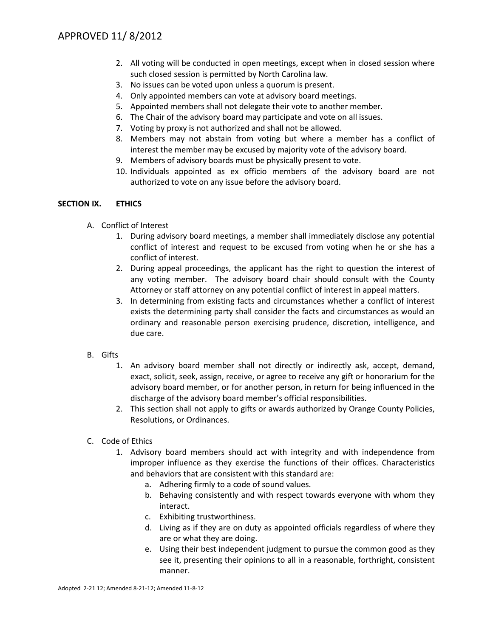- 2. All voting will be conducted in open meetings, except when in closed session where such closed session is permitted by North Carolina law.
- 3. No issues can be voted upon unless a quorum is present.
- 4. Only appointed members can vote at advisory board meetings.
- 5. Appointed members shall not delegate their vote to another member.
- 6. The Chair of the advisory board may participate and vote on all issues.
- 7. Voting by proxy is not authorized and shall not be allowed.
- 8. Members may not abstain from voting but where a member has a conflict of interest the member may be excused by majority vote of the advisory board.
- 9. Members of advisory boards must be physically present to vote.
- 10. Individuals appointed as ex officio members of the advisory board are not authorized to vote on any issue before the advisory board.

## **SECTION IX. ETHICS**

- A. Conflict of Interest
	- 1. During advisory board meetings, a member shall immediately disclose any potential conflict of interest and request to be excused from voting when he or she has a conflict of interest.
	- 2. During appeal proceedings, the applicant has the right to question the interest of any voting member. The advisory board chair should consult with the County Attorney or staff attorney on any potential conflict of interest in appeal matters.
	- 3. In determining from existing facts and circumstances whether a conflict of interest exists the determining party shall consider the facts and circumstances as would an ordinary and reasonable person exercising prudence, discretion, intelligence, and due care.
- B. Gifts
	- 1. An advisory board member shall not directly or indirectly ask, accept, demand, exact, solicit, seek, assign, receive, or agree to receive any gift or honorarium for the advisory board member, or for another person, in return for being influenced in the discharge of the advisory board member's official responsibilities.
	- 2. This section shall not apply to gifts or awards authorized by Orange County Policies, Resolutions, or Ordinances.
- C. Code of Ethics
	- 1. Advisory board members should act with integrity and with independence from improper influence as they exercise the functions of their offices. Characteristics and behaviors that are consistent with this standard are:
		- a. Adhering firmly to a code of sound values.
		- b. Behaving consistently and with respect towards everyone with whom they interact.
		- c. Exhibiting trustworthiness.
		- d. Living as if they are on duty as appointed officials regardless of where they are or what they are doing.
		- e. Using their best independent judgment to pursue the common good as they see it, presenting their opinions to all in a reasonable, forthright, consistent manner.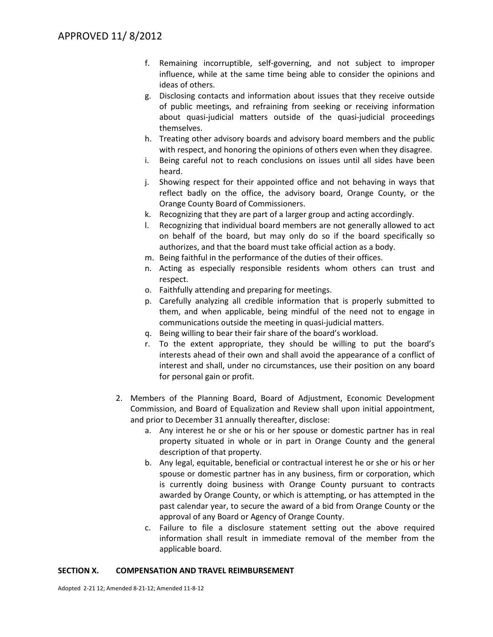- f. Remaining incorruptible, self-governing, and not subject to improper influence, while at the same time being able to consider the opinions and ideas of others.
- g. Disclosing contacts and information about issues that they receive outside of public meetings, and refraining from seeking or receiving information about quasi-judicial matters outside of the quasi-judicial proceedings themselves.
- h. Treating other advisory boards and advisory board members and the public with respect, and honoring the opinions of others even when they disagree.
- i. Being careful not to reach conclusions on issues until all sides have been heard.
- j. Showing respect for their appointed office and not behaving in ways that reflect badly on the office, the advisory board, Orange County, or the Orange County Board of Commissioners.
- k. Recognizing that they are part of a larger group and acting accordingly.
- l. Recognizing that individual board members are not generally allowed to act on behalf of the board, but may only do so if the board specifically so authorizes, and that the board must take official action as a body.
- m. Being faithful in the performance of the duties of their offices.
- n. Acting as especially responsible residents whom others can trust and respect.
- o. Faithfully attending and preparing for meetings.
- p. Carefully analyzing all credible information that is properly submitted to them, and when applicable, being mindful of the need not to engage in communications outside the meeting in quasi-judicial matters.
- q. Being willing to bear their fair share of the board's workload.
- r. To the extent appropriate, they should be willing to put the board's interests ahead of their own and shall avoid the appearance of a conflict of interest and shall, under no circumstances, use their position on any board for personal gain or profit.
- 2. Members of the Planning Board, Board of Adjustment, Economic Development Commission, and Board of Equalization and Review shall upon initial appointment, and prior to December 31 annually thereafter, disclose:
	- a. Any interest he or she or his or her spouse or domestic partner has in real property situated in whole or in part in Orange County and the general description of that property.
	- b. Any legal, equitable, beneficial or contractual interest he or she or his or her spouse or domestic partner has in any business, firm or corporation, which is currently doing business with Orange County pursuant to contracts awarded by Orange County, or which is attempting, or has attempted in the past calendar year, to secure the award of a bid from Orange County or the approval of any Board or Agency of Orange County.
	- c. Failure to file a disclosure statement setting out the above required information shall result in immediate removal of the member from the applicable board.

## **SECTION X. COMPENSATION AND TRAVEL REIMBURSEMENT**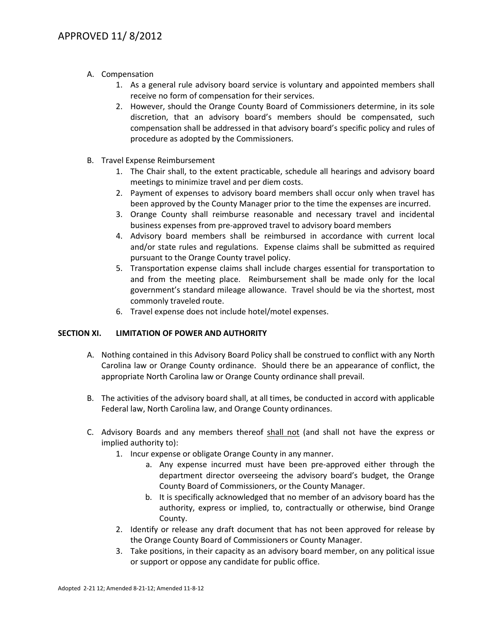- A. Compensation
	- 1. As a general rule advisory board service is voluntary and appointed members shall receive no form of compensation for their services.
	- 2. However, should the Orange County Board of Commissioners determine, in its sole discretion, that an advisory board's members should be compensated, such compensation shall be addressed in that advisory board's specific policy and rules of procedure as adopted by the Commissioners.
- B. Travel Expense Reimbursement
	- 1. The Chair shall, to the extent practicable, schedule all hearings and advisory board meetings to minimize travel and per diem costs.
	- 2. Payment of expenses to advisory board members shall occur only when travel has been approved by the County Manager prior to the time the expenses are incurred.
	- 3. Orange County shall reimburse reasonable and necessary travel and incidental business expenses from pre-approved travel to advisory board members
	- 4. Advisory board members shall be reimbursed in accordance with current local and/or state rules and regulations. Expense claims shall be submitted as required pursuant to the Orange County travel policy.
	- 5. Transportation expense claims shall include charges essential for transportation to and from the meeting place. Reimbursement shall be made only for the local government's standard mileage allowance. Travel should be via the shortest, most commonly traveled route.
	- 6. Travel expense does not include hotel/motel expenses.

## **SECTION XI. LIMITATION OF POWER AND AUTHORITY**

- A. Nothing contained in this Advisory Board Policy shall be construed to conflict with any North Carolina law or Orange County ordinance. Should there be an appearance of conflict, the appropriate North Carolina law or Orange County ordinance shall prevail.
- B. The activities of the advisory board shall, at all times, be conducted in accord with applicable Federal law, North Carolina law, and Orange County ordinances.
- C. Advisory Boards and any members thereof shall not (and shall not have the express or implied authority to):
	- 1. Incur expense or obligate Orange County in any manner.
		- a. Any expense incurred must have been pre-approved either through the department director overseeing the advisory board's budget, the Orange County Board of Commissioners, or the County Manager.
		- b. It is specifically acknowledged that no member of an advisory board has the authority, express or implied, to, contractually or otherwise, bind Orange County.
	- 2. Identify or release any draft document that has not been approved for release by the Orange County Board of Commissioners or County Manager.
	- 3. Take positions, in their capacity as an advisory board member, on any political issue or support or oppose any candidate for public office.